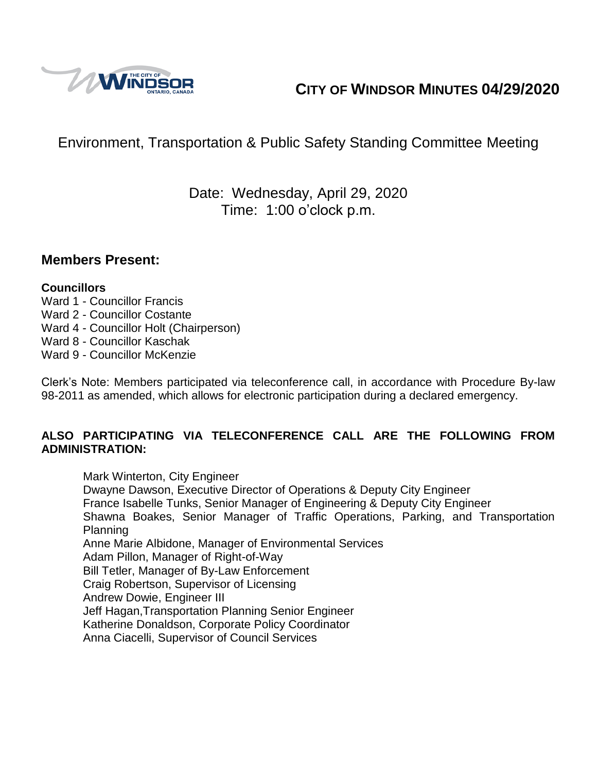

# **CITY OF WINDSOR MINUTES 04/29/2020**

# Environment, Transportation & Public Safety Standing Committee Meeting

## Date: Wednesday, April 29, 2020 Time: 1:00 o'clock p.m.

## **Members Present:**

### **Councillors**

- Ward 1 Councillor Francis
- Ward 2 Councillor Costante
- Ward 4 Councillor Holt (Chairperson)
- Ward 8 Councillor Kaschak
- Ward 9 Councillor McKenzie

Clerk's Note: Members participated via teleconference call, in accordance with Procedure By-law 98-2011 as amended, which allows for electronic participation during a declared emergency.

### **ALSO PARTICIPATING VIA TELECONFERENCE CALL ARE THE FOLLOWING FROM ADMINISTRATION:**

Mark Winterton, City Engineer Dwayne Dawson, Executive Director of Operations & Deputy City Engineer France Isabelle Tunks, Senior Manager of Engineering & Deputy City Engineer Shawna Boakes, Senior Manager of Traffic Operations, Parking, and Transportation Planning Anne Marie Albidone, Manager of Environmental Services Adam Pillon, Manager of Right-of-Way Bill Tetler, Manager of By-Law Enforcement Craig Robertson, Supervisor of Licensing Andrew Dowie, Engineer III Jeff Hagan,Transportation Planning Senior Engineer Katherine Donaldson, Corporate Policy Coordinator Anna Ciacelli, Supervisor of Council Services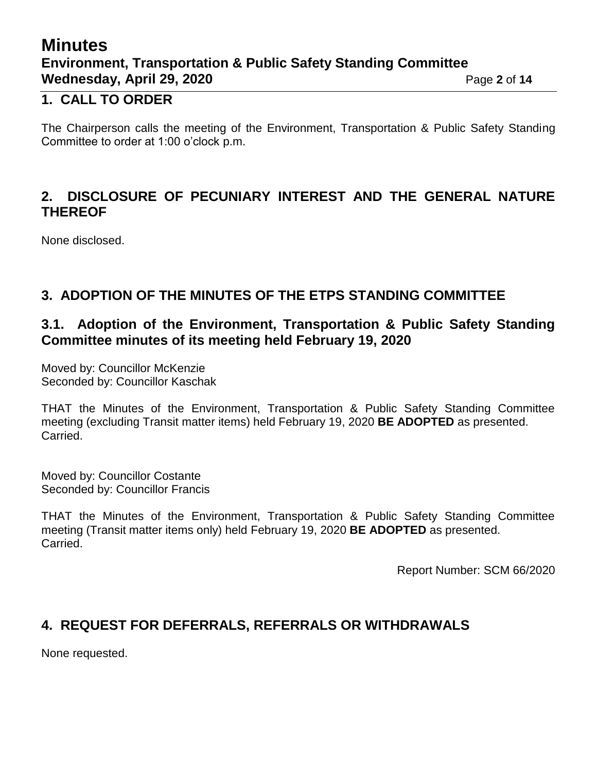# **Minutes Environment, Transportation & Public Safety Standing Committee Wednesday, April 29, 2020 Page 2** of 14

## **1. CALL TO ORDER**

The Chairperson calls the meeting of the Environment, Transportation & Public Safety Standing Committee to order at 1:00 o'clock p.m.

## **2. DISCLOSURE OF PECUNIARY INTEREST AND THE GENERAL NATURE THEREOF**

None disclosed.

## **3. ADOPTION OF THE MINUTES OF THE ETPS STANDING COMMITTEE**

## **3.1. Adoption of the Environment, Transportation & Public Safety Standing Committee minutes of its meeting held February 19, 2020**

Moved by: Councillor McKenzie Seconded by: Councillor Kaschak

THAT the Minutes of the Environment, Transportation & Public Safety Standing Committee meeting (excluding Transit matter items) held February 19, 2020 **BE ADOPTED** as presented. Carried.

Moved by: Councillor Costante Seconded by: Councillor Francis

THAT the Minutes of the Environment, Transportation & Public Safety Standing Committee meeting (Transit matter items only) held February 19, 2020 **BE ADOPTED** as presented. Carried.

Report Number: SCM 66/2020

## **4. REQUEST FOR DEFERRALS, REFERRALS OR WITHDRAWALS**

None requested.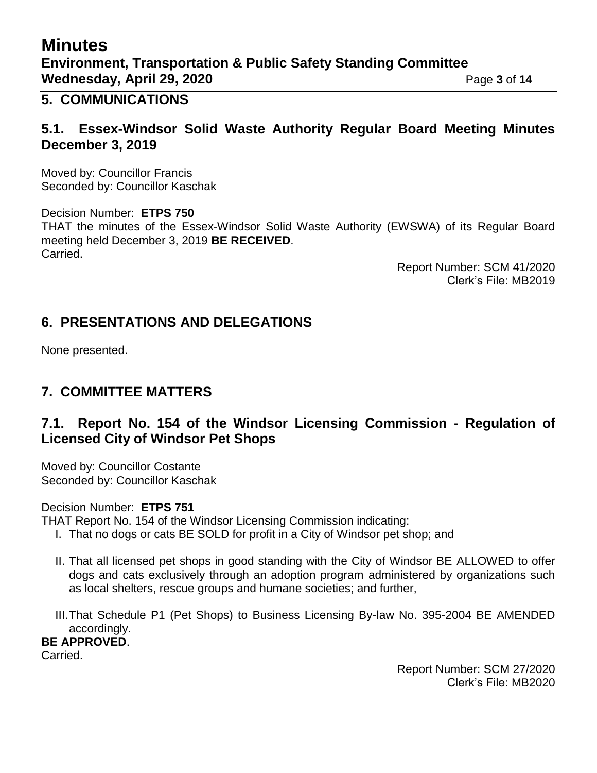# **Minutes Environment, Transportation & Public Safety Standing Committee Wednesday, April 29, 2020 Page 3 of 14**

## **5. COMMUNICATIONS**

## **5.1. Essex-Windsor Solid Waste Authority Regular Board Meeting Minutes December 3, 2019**

Moved by: Councillor Francis Seconded by: Councillor Kaschak

Decision Number: **ETPS 750** THAT the minutes of the Essex-Windsor Solid Waste Authority (EWSWA) of its Regular Board meeting held December 3, 2019 **BE RECEIVED**. Carried.

> Report Number: SCM 41/2020 Clerk's File: MB2019

## **6. PRESENTATIONS AND DELEGATIONS**

None presented.

## **7. COMMITTEE MATTERS**

## **7.1. Report No. 154 of the Windsor Licensing Commission - Regulation of Licensed City of Windsor Pet Shops**

Moved by: Councillor Costante Seconded by: Councillor Kaschak

Decision Number: **ETPS 751**

THAT Report No. 154 of the Windsor Licensing Commission indicating:

- I. That no dogs or cats BE SOLD for profit in a City of Windsor pet shop; and
- II. That all licensed pet shops in good standing with the City of Windsor BE ALLOWED to offer dogs and cats exclusively through an adoption program administered by organizations such as local shelters, rescue groups and humane societies; and further,
- III.That Schedule P1 (Pet Shops) to Business Licensing By-law No. 395-2004 BE AMENDED accordingly.

**BE APPROVED**.

Carried.

Report Number: SCM 27/2020 Clerk's File: MB2020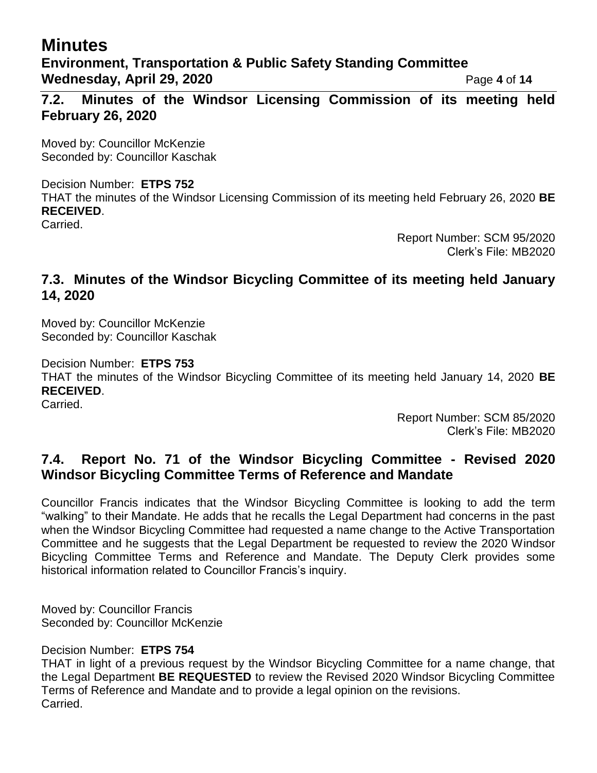# **Minutes**

## **Environment, Transportation & Public Safety Standing Committee Wednesday, April 29, 2020 Page 4 of 14**

**7.2. Minutes of the Windsor Licensing Commission of its meeting held February 26, 2020**

Moved by: Councillor McKenzie Seconded by: Councillor Kaschak

### Decision Number: **ETPS 752**

THAT the minutes of the Windsor Licensing Commission of its meeting held February 26, 2020 **BE RECEIVED**.

Carried.

Report Number: SCM 95/2020 Clerk's File: MB2020

## **7.3. Minutes of the Windsor Bicycling Committee of its meeting held January 14, 2020**

Moved by: Councillor McKenzie Seconded by: Councillor Kaschak

Decision Number: **ETPS 753**

THAT the minutes of the Windsor Bicycling Committee of its meeting held January 14, 2020 **BE RECEIVED**.

Carried.

Report Number: SCM 85/2020 Clerk's File: MB2020

## **7.4. Report No. 71 of the Windsor Bicycling Committee - Revised 2020 Windsor Bicycling Committee Terms of Reference and Mandate**

Councillor Francis indicates that the Windsor Bicycling Committee is looking to add the term "walking" to their Mandate. He adds that he recalls the Legal Department had concerns in the past when the Windsor Bicycling Committee had requested a name change to the Active Transportation Committee and he suggests that the Legal Department be requested to review the 2020 Windsor Bicycling Committee Terms and Reference and Mandate. The Deputy Clerk provides some historical information related to Councillor Francis's inquiry.

Moved by: Councillor Francis Seconded by: Councillor McKenzie

Decision Number: **ETPS 754**

THAT in light of a previous request by the Windsor Bicycling Committee for a name change, that the Legal Department **BE REQUESTED** to review the Revised 2020 Windsor Bicycling Committee Terms of Reference and Mandate and to provide a legal opinion on the revisions. Carried.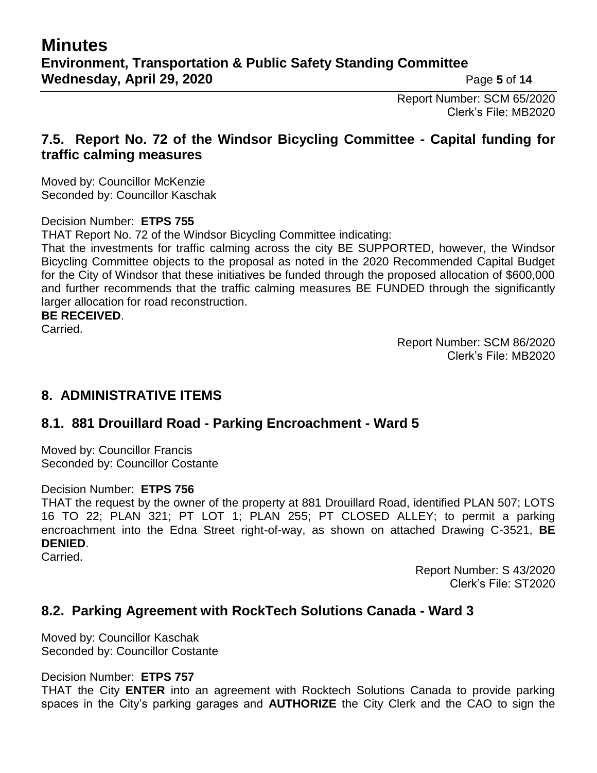Report Number: SCM 65/2020 Clerk's File: MB2020

## **7.5. Report No. 72 of the Windsor Bicycling Committee - Capital funding for traffic calming measures**

Moved by: Councillor McKenzie Seconded by: Councillor Kaschak

### Decision Number: **ETPS 755**

THAT Report No. 72 of the Windsor Bicycling Committee indicating:

That the investments for traffic calming across the city BE SUPPORTED, however, the Windsor Bicycling Committee objects to the proposal as noted in the 2020 Recommended Capital Budget for the City of Windsor that these initiatives be funded through the proposed allocation of \$600,000 and further recommends that the traffic calming measures BE FUNDED through the significantly larger allocation for road reconstruction.

#### **BE RECEIVED**.

Carried.

Report Number: SCM 86/2020 Clerk's File: MB2020

## **8. ADMINISTRATIVE ITEMS**

## **8.1. 881 Drouillard Road - Parking Encroachment - Ward 5**

Moved by: Councillor Francis Seconded by: Councillor Costante

#### Decision Number: **ETPS 756**

THAT the request by the owner of the property at 881 Drouillard Road, identified PLAN 507; LOTS 16 TO 22; PLAN 321; PT LOT 1; PLAN 255; PT CLOSED ALLEY; to permit a parking encroachment into the Edna Street right-of-way, as shown on attached Drawing C-3521, **BE DENIED**.

Carried.

Report Number: S 43/2020 Clerk's File: ST2020

## **8.2. Parking Agreement with RockTech Solutions Canada - Ward 3**

Moved by: Councillor Kaschak Seconded by: Councillor Costante

#### Decision Number: **ETPS 757**

THAT the City **ENTER** into an agreement with Rocktech Solutions Canada to provide parking spaces in the City's parking garages and **AUTHORIZE** the City Clerk and the CAO to sign the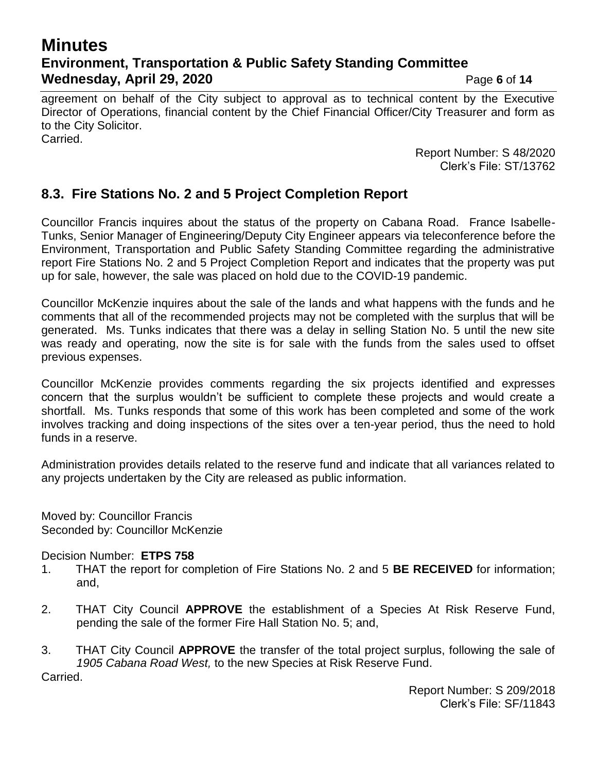# **Minutes Environment, Transportation & Public Safety Standing Committee Wednesday, April 29, 2020 Page 6** of 14

agreement on behalf of the City subject to approval as to technical content by the Executive Director of Operations, financial content by the Chief Financial Officer/City Treasurer and form as to the City Solicitor. Carried.

> Report Number: S 48/2020 Clerk's File: ST/13762

## **8.3. Fire Stations No. 2 and 5 Project Completion Report**

Councillor Francis inquires about the status of the property on Cabana Road. France Isabelle-Tunks, Senior Manager of Engineering/Deputy City Engineer appears via teleconference before the Environment, Transportation and Public Safety Standing Committee regarding the administrative report Fire Stations No. 2 and 5 Project Completion Report and indicates that the property was put up for sale, however, the sale was placed on hold due to the COVID-19 pandemic.

Councillor McKenzie inquires about the sale of the lands and what happens with the funds and he comments that all of the recommended projects may not be completed with the surplus that will be generated. Ms. Tunks indicates that there was a delay in selling Station No. 5 until the new site was ready and operating, now the site is for sale with the funds from the sales used to offset previous expenses.

Councillor McKenzie provides comments regarding the six projects identified and expresses concern that the surplus wouldn't be sufficient to complete these projects and would create a shortfall. Ms. Tunks responds that some of this work has been completed and some of the work involves tracking and doing inspections of the sites over a ten-year period, thus the need to hold funds in a reserve.

Administration provides details related to the reserve fund and indicate that all variances related to any projects undertaken by the City are released as public information.

Moved by: Councillor Francis Seconded by: Councillor McKenzie

Decision Number: **ETPS 758**

- 1. THAT the report for completion of Fire Stations No. 2 and 5 **BE RECEIVED** for information; and,
- 2. THAT City Council **APPROVE** the establishment of a Species At Risk Reserve Fund, pending the sale of the former Fire Hall Station No. 5; and,

3. THAT City Council **APPROVE** the transfer of the total project surplus, following the sale of *1905 Cabana Road West,* to the new Species at Risk Reserve Fund. Carried.

> Report Number: S 209/2018 Clerk's File: SF/11843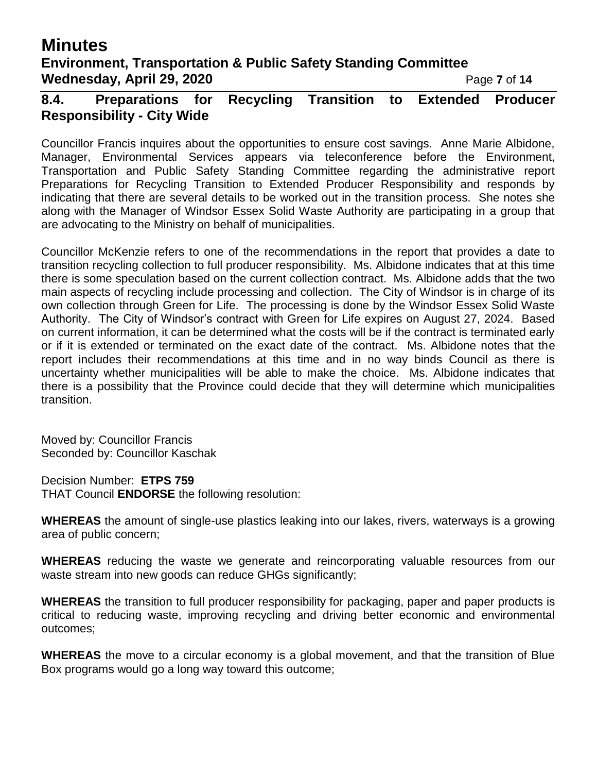# **Minutes**

## **Environment, Transportation & Public Safety Standing Committee Wednesday, April 29, 2020 Page 7** of 14

**8.4. Preparations for Recycling Transition to Extended Producer Responsibility - City Wide**

Councillor Francis inquires about the opportunities to ensure cost savings. Anne Marie Albidone, Manager, Environmental Services appears via teleconference before the Environment, Transportation and Public Safety Standing Committee regarding the administrative report Preparations for Recycling Transition to Extended Producer Responsibility and responds by indicating that there are several details to be worked out in the transition process. She notes she along with the Manager of Windsor Essex Solid Waste Authority are participating in a group that are advocating to the Ministry on behalf of municipalities.

Councillor McKenzie refers to one of the recommendations in the report that provides a date to transition recycling collection to full producer responsibility. Ms. Albidone indicates that at this time there is some speculation based on the current collection contract. Ms. Albidone adds that the two main aspects of recycling include processing and collection. The City of Windsor is in charge of its own collection through Green for Life. The processing is done by the Windsor Essex Solid Waste Authority. The City of Windsor's contract with Green for Life expires on August 27, 2024. Based on current information, it can be determined what the costs will be if the contract is terminated early or if it is extended or terminated on the exact date of the contract. Ms. Albidone notes that the report includes their recommendations at this time and in no way binds Council as there is uncertainty whether municipalities will be able to make the choice. Ms. Albidone indicates that there is a possibility that the Province could decide that they will determine which municipalities transition.

Moved by: Councillor Francis Seconded by: Councillor Kaschak

Decision Number: **ETPS 759** THAT Council **ENDORSE** the following resolution:

**WHEREAS** the amount of single-use plastics leaking into our lakes, rivers, waterways is a growing area of public concern;

**WHEREAS** reducing the waste we generate and reincorporating valuable resources from our waste stream into new goods can reduce GHGs significantly;

**WHEREAS** the transition to full producer responsibility for packaging, paper and paper products is critical to reducing waste, improving recycling and driving better economic and environmental outcomes;

**WHEREAS** the move to a circular economy is a global movement, and that the transition of Blue Box programs would go a long way toward this outcome;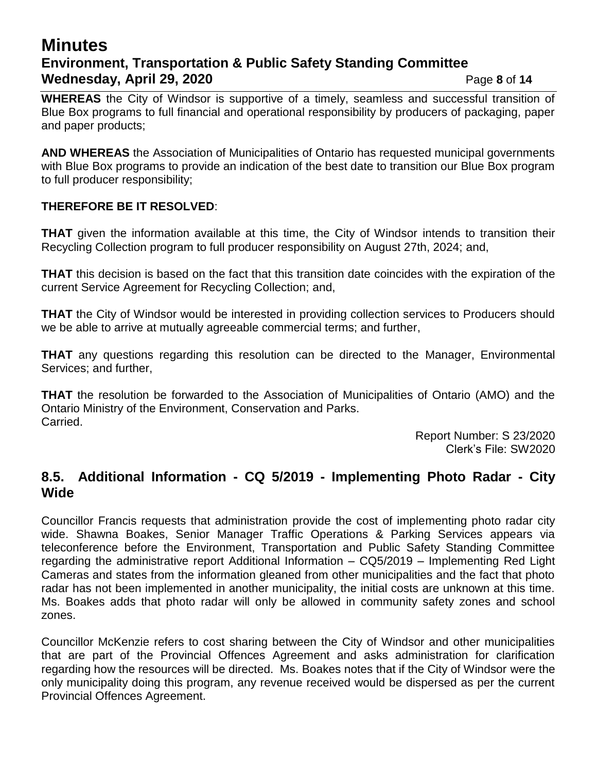## **Minutes Environment, Transportation & Public Safety Standing Committee Wednesday, April 29, 2020 Page 8 of 14**

**WHEREAS** the City of Windsor is supportive of a timely, seamless and successful transition of Blue Box programs to full financial and operational responsibility by producers of packaging, paper and paper products;

**AND WHEREAS** the Association of Municipalities of Ontario has requested municipal governments with Blue Box programs to provide an indication of the best date to transition our Blue Box program to full producer responsibility;

### **THEREFORE BE IT RESOLVED**:

**THAT** given the information available at this time, the City of Windsor intends to transition their Recycling Collection program to full producer responsibility on August 27th, 2024; and,

**THAT** this decision is based on the fact that this transition date coincides with the expiration of the current Service Agreement for Recycling Collection; and,

**THAT** the City of Windsor would be interested in providing collection services to Producers should we be able to arrive at mutually agreeable commercial terms; and further,

**THAT** any questions regarding this resolution can be directed to the Manager, Environmental Services; and further,

**THAT** the resolution be forwarded to the Association of Municipalities of Ontario (AMO) and the Ontario Ministry of the Environment, Conservation and Parks. Carried.

Report Number: S 23/2020 Clerk's File: SW2020

## **8.5. Additional Information - CQ 5/2019 - Implementing Photo Radar - City Wide**

Councillor Francis requests that administration provide the cost of implementing photo radar city wide. Shawna Boakes, Senior Manager Traffic Operations & Parking Services appears via teleconference before the Environment, Transportation and Public Safety Standing Committee regarding the administrative report Additional Information – CQ5/2019 – Implementing Red Light Cameras and states from the information gleaned from other municipalities and the fact that photo radar has not been implemented in another municipality, the initial costs are unknown at this time. Ms. Boakes adds that photo radar will only be allowed in community safety zones and school zones.

Councillor McKenzie refers to cost sharing between the City of Windsor and other municipalities that are part of the Provincial Offences Agreement and asks administration for clarification regarding how the resources will be directed. Ms. Boakes notes that if the City of Windsor were the only municipality doing this program, any revenue received would be dispersed as per the current Provincial Offences Agreement.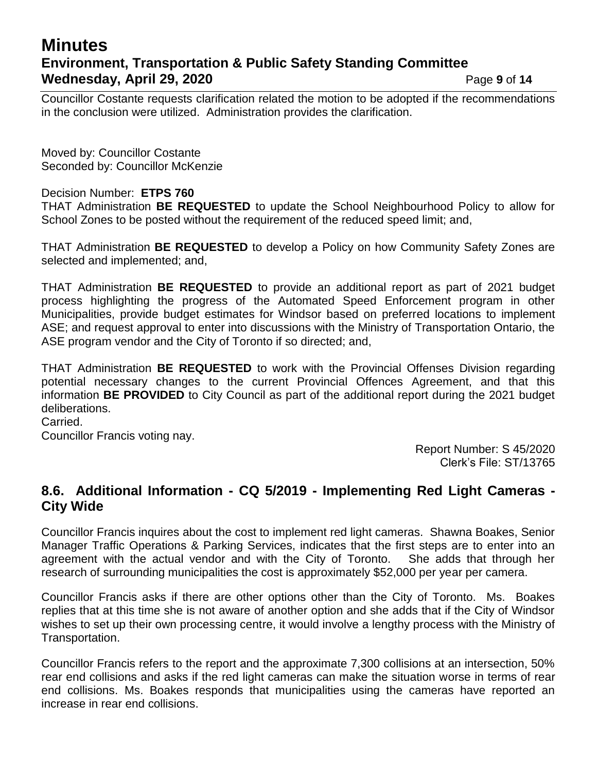## **Minutes Environment, Transportation & Public Safety Standing Committee Wednesday, April 29, 2020 Page 9 of 14**

Councillor Costante requests clarification related the motion to be adopted if the recommendations in the conclusion were utilized. Administration provides the clarification.

Moved by: Councillor Costante Seconded by: Councillor McKenzie

### Decision Number: **ETPS 760**

THAT Administration **BE REQUESTED** to update the School Neighbourhood Policy to allow for School Zones to be posted without the requirement of the reduced speed limit; and,

THAT Administration **BE REQUESTED** to develop a Policy on how Community Safety Zones are selected and implemented; and,

THAT Administration **BE REQUESTED** to provide an additional report as part of 2021 budget process highlighting the progress of the Automated Speed Enforcement program in other Municipalities, provide budget estimates for Windsor based on preferred locations to implement ASE; and request approval to enter into discussions with the Ministry of Transportation Ontario, the ASE program vendor and the City of Toronto if so directed; and,

THAT Administration **BE REQUESTED** to work with the Provincial Offenses Division regarding potential necessary changes to the current Provincial Offences Agreement, and that this information **BE PROVIDED** to City Council as part of the additional report during the 2021 budget deliberations.

Carried. Councillor Francis voting nay.

> Report Number: S 45/2020 Clerk's File: ST/13765

## **8.6. Additional Information - CQ 5/2019 - Implementing Red Light Cameras - City Wide**

Councillor Francis inquires about the cost to implement red light cameras. Shawna Boakes, Senior Manager Traffic Operations & Parking Services, indicates that the first steps are to enter into an agreement with the actual vendor and with the City of Toronto. She adds that through her research of surrounding municipalities the cost is approximately \$52,000 per year per camera.

Councillor Francis asks if there are other options other than the City of Toronto. Ms. Boakes replies that at this time she is not aware of another option and she adds that if the City of Windsor wishes to set up their own processing centre, it would involve a lengthy process with the Ministry of Transportation.

Councillor Francis refers to the report and the approximate 7,300 collisions at an intersection, 50% rear end collisions and asks if the red light cameras can make the situation worse in terms of rear end collisions. Ms. Boakes responds that municipalities using the cameras have reported an increase in rear end collisions.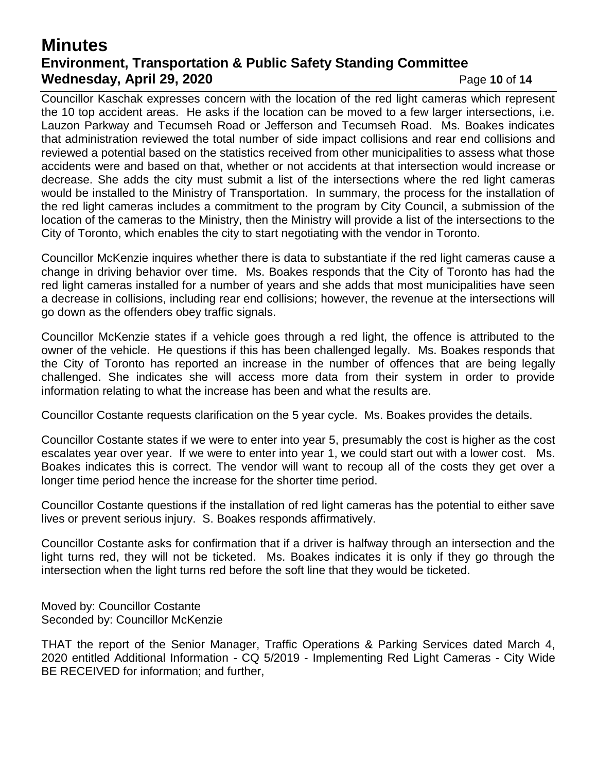# **Minutes Environment, Transportation & Public Safety Standing Committee Wednesday, April 29, 2020 Page 10 of 14**

Councillor Kaschak expresses concern with the location of the red light cameras which represent the 10 top accident areas. He asks if the location can be moved to a few larger intersections, i.e. Lauzon Parkway and Tecumseh Road or Jefferson and Tecumseh Road. Ms. Boakes indicates that administration reviewed the total number of side impact collisions and rear end collisions and reviewed a potential based on the statistics received from other municipalities to assess what those accidents were and based on that, whether or not accidents at that intersection would increase or decrease. She adds the city must submit a list of the intersections where the red light cameras would be installed to the Ministry of Transportation. In summary, the process for the installation of the red light cameras includes a commitment to the program by City Council, a submission of the location of the cameras to the Ministry, then the Ministry will provide a list of the intersections to the City of Toronto, which enables the city to start negotiating with the vendor in Toronto.

Councillor McKenzie inquires whether there is data to substantiate if the red light cameras cause a change in driving behavior over time. Ms. Boakes responds that the City of Toronto has had the red light cameras installed for a number of years and she adds that most municipalities have seen a decrease in collisions, including rear end collisions; however, the revenue at the intersections will go down as the offenders obey traffic signals.

Councillor McKenzie states if a vehicle goes through a red light, the offence is attributed to the owner of the vehicle. He questions if this has been challenged legally. Ms. Boakes responds that the City of Toronto has reported an increase in the number of offences that are being legally challenged. She indicates she will access more data from their system in order to provide information relating to what the increase has been and what the results are.

Councillor Costante requests clarification on the 5 year cycle. Ms. Boakes provides the details.

Councillor Costante states if we were to enter into year 5, presumably the cost is higher as the cost escalates year over year. If we were to enter into year 1, we could start out with a lower cost. Ms. Boakes indicates this is correct. The vendor will want to recoup all of the costs they get over a longer time period hence the increase for the shorter time period.

Councillor Costante questions if the installation of red light cameras has the potential to either save lives or prevent serious injury. S. Boakes responds affirmatively.

Councillor Costante asks for confirmation that if a driver is halfway through an intersection and the light turns red, they will not be ticketed. Ms. Boakes indicates it is only if they go through the intersection when the light turns red before the soft line that they would be ticketed.

Moved by: Councillor Costante Seconded by: Councillor McKenzie

THAT the report of the Senior Manager, Traffic Operations & Parking Services dated March 4, 2020 entitled Additional Information - CQ 5/2019 - Implementing Red Light Cameras - City Wide BE RECEIVED for information; and further,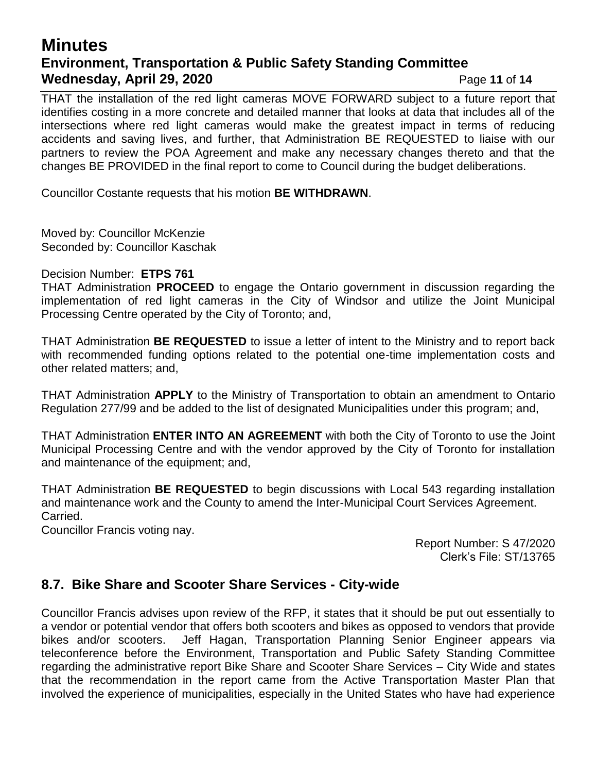## **Minutes Environment, Transportation & Public Safety Standing Committee Wednesday, April 29, 2020 Page 11 of 14**

THAT the installation of the red light cameras MOVE FORWARD subject to a future report that identifies costing in a more concrete and detailed manner that looks at data that includes all of the intersections where red light cameras would make the greatest impact in terms of reducing accidents and saving lives, and further, that Administration BE REQUESTED to liaise with our partners to review the POA Agreement and make any necessary changes thereto and that the changes BE PROVIDED in the final report to come to Council during the budget deliberations.

Councillor Costante requests that his motion **BE WITHDRAWN**.

Moved by: Councillor McKenzie Seconded by: Councillor Kaschak

### Decision Number: **ETPS 761**

THAT Administration **PROCEED** to engage the Ontario government in discussion regarding the implementation of red light cameras in the City of Windsor and utilize the Joint Municipal Processing Centre operated by the City of Toronto; and,

THAT Administration **BE REQUESTED** to issue a letter of intent to the Ministry and to report back with recommended funding options related to the potential one-time implementation costs and other related matters; and,

THAT Administration **APPLY** to the Ministry of Transportation to obtain an amendment to Ontario Regulation 277/99 and be added to the list of designated Municipalities under this program; and,

THAT Administration **ENTER INTO AN AGREEMENT** with both the City of Toronto to use the Joint Municipal Processing Centre and with the vendor approved by the City of Toronto for installation and maintenance of the equipment; and,

THAT Administration **BE REQUESTED** to begin discussions with Local 543 regarding installation and maintenance work and the County to amend the Inter-Municipal Court Services Agreement. Carried.

Councillor Francis voting nay.

Report Number: S 47/2020 Clerk's File: ST/13765

## **8.7. Bike Share and Scooter Share Services - City-wide**

Councillor Francis advises upon review of the RFP, it states that it should be put out essentially to a vendor or potential vendor that offers both scooters and bikes as opposed to vendors that provide bikes and/or scooters. Jeff Hagan, Transportation Planning Senior Engineer appears via teleconference before the Environment, Transportation and Public Safety Standing Committee regarding the administrative report Bike Share and Scooter Share Services – City Wide and states that the recommendation in the report came from the Active Transportation Master Plan that involved the experience of municipalities, especially in the United States who have had experience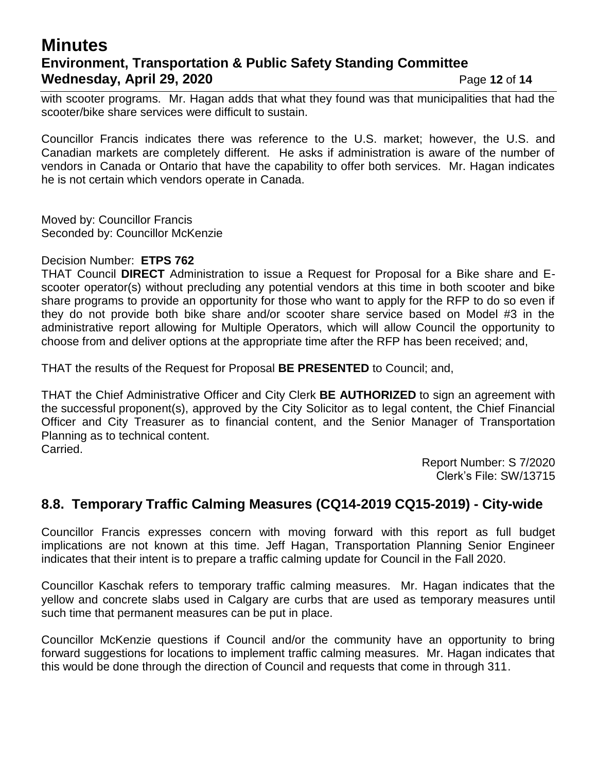## **Minutes Environment, Transportation & Public Safety Standing Committee Wednesday, April 29, 2020 Page 12 of 14**

with scooter programs. Mr. Hagan adds that what they found was that municipalities that had the scooter/bike share services were difficult to sustain.

Councillor Francis indicates there was reference to the U.S. market; however, the U.S. and Canadian markets are completely different. He asks if administration is aware of the number of vendors in Canada or Ontario that have the capability to offer both services. Mr. Hagan indicates he is not certain which vendors operate in Canada.

Moved by: Councillor Francis Seconded by: Councillor McKenzie

#### Decision Number: **ETPS 762**

THAT Council **DIRECT** Administration to issue a Request for Proposal for a Bike share and Escooter operator(s) without precluding any potential vendors at this time in both scooter and bike share programs to provide an opportunity for those who want to apply for the RFP to do so even if they do not provide both bike share and/or scooter share service based on Model #3 in the administrative report allowing for Multiple Operators, which will allow Council the opportunity to choose from and deliver options at the appropriate time after the RFP has been received; and,

THAT the results of the Request for Proposal **BE PRESENTED** to Council; and,

THAT the Chief Administrative Officer and City Clerk **BE AUTHORIZED** to sign an agreement with the successful proponent(s), approved by the City Solicitor as to legal content, the Chief Financial Officer and City Treasurer as to financial content, and the Senior Manager of Transportation Planning as to technical content. Carried.

> Report Number: S 7/2020 Clerk's File: SW/13715

## **8.8. Temporary Traffic Calming Measures (CQ14-2019 CQ15-2019) - City-wide**

Councillor Francis expresses concern with moving forward with this report as full budget implications are not known at this time. Jeff Hagan, Transportation Planning Senior Engineer indicates that their intent is to prepare a traffic calming update for Council in the Fall 2020.

Councillor Kaschak refers to temporary traffic calming measures. Mr. Hagan indicates that the yellow and concrete slabs used in Calgary are curbs that are used as temporary measures until such time that permanent measures can be put in place.

Councillor McKenzie questions if Council and/or the community have an opportunity to bring forward suggestions for locations to implement traffic calming measures. Mr. Hagan indicates that this would be done through the direction of Council and requests that come in through 311.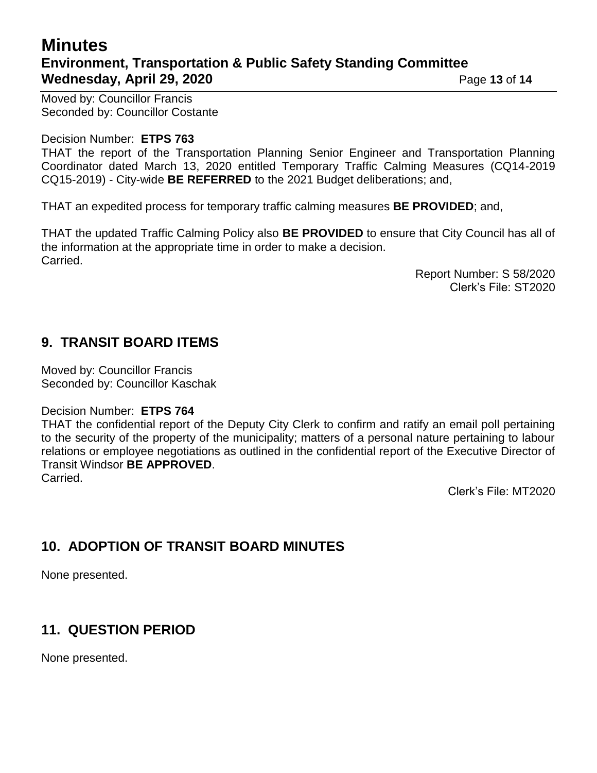# **Minutes Environment, Transportation & Public Safety Standing Committee Wednesday, April 29, 2020 Page 13 of 14**

Moved by: Councillor Francis Seconded by: Councillor Costante

### Decision Number: **ETPS 763**

THAT the report of the Transportation Planning Senior Engineer and Transportation Planning Coordinator dated March 13, 2020 entitled Temporary Traffic Calming Measures (CQ14-2019 CQ15-2019) - City-wide **BE REFERRED** to the 2021 Budget deliberations; and,

THAT an expedited process for temporary traffic calming measures **BE PROVIDED**; and,

THAT the updated Traffic Calming Policy also **BE PROVIDED** to ensure that City Council has all of the information at the appropriate time in order to make a decision. Carried.

> Report Number: S 58/2020 Clerk's File: ST2020

## **9. TRANSIT BOARD ITEMS**

Moved by: Councillor Francis Seconded by: Councillor Kaschak

### Decision Number: **ETPS 764**

THAT the confidential report of the Deputy City Clerk to confirm and ratify an email poll pertaining to the security of the property of the municipality; matters of a personal nature pertaining to labour relations or employee negotiations as outlined in the confidential report of the Executive Director of Transit Windsor **BE APPROVED**. Carried.

Clerk's File: MT2020

## **10. ADOPTION OF TRANSIT BOARD MINUTES**

None presented.

## **11. QUESTION PERIOD**

None presented.